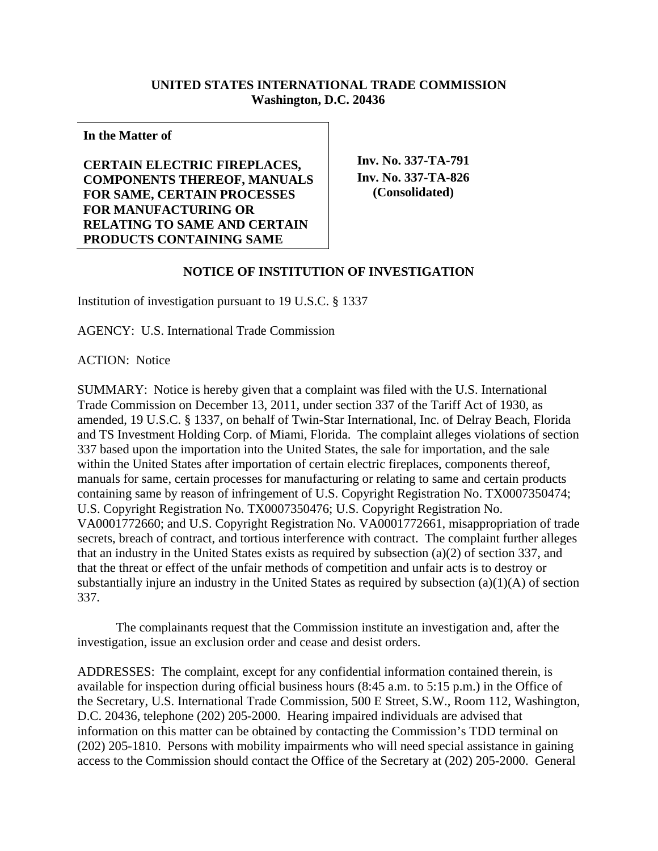## **UNITED STATES INTERNATIONAL TRADE COMMISSION Washington, D.C. 20436**

**In the Matter of** 

**CERTAIN ELECTRIC FIREPLACES, COMPONENTS THEREOF, MANUALS FOR SAME, CERTAIN PROCESSES FOR MANUFACTURING OR RELATING TO SAME AND CERTAIN PRODUCTS CONTAINING SAME**

**Inv. No. 337-TA-791 Inv. No. 337-TA-826 (Consolidated)** 

## **NOTICE OF INSTITUTION OF INVESTIGATION**

Institution of investigation pursuant to 19 U.S.C. § 1337

AGENCY: U.S. International Trade Commission

ACTION: Notice

SUMMARY: Notice is hereby given that a complaint was filed with the U.S. International Trade Commission on December 13, 2011, under section 337 of the Tariff Act of 1930, as amended, 19 U.S.C. § 1337, on behalf of Twin-Star International, Inc. of Delray Beach, Florida and TS Investment Holding Corp. of Miami, Florida. The complaint alleges violations of section 337 based upon the importation into the United States, the sale for importation, and the sale within the United States after importation of certain electric fireplaces, components thereof, manuals for same, certain processes for manufacturing or relating to same and certain products containing same by reason of infringement of U.S. Copyright Registration No. TX0007350474; U.S. Copyright Registration No. TX0007350476; U.S. Copyright Registration No. VA0001772660; and U.S. Copyright Registration No. VA0001772661, misappropriation of trade secrets, breach of contract, and tortious interference with contract. The complaint further alleges that an industry in the United States exists as required by subsection (a)(2) of section 337, and that the threat or effect of the unfair methods of competition and unfair acts is to destroy or substantially injure an industry in the United States as required by subsection (a)(1)(A) of section 337.

 The complainants request that the Commission institute an investigation and, after the investigation, issue an exclusion order and cease and desist orders.

ADDRESSES: The complaint, except for any confidential information contained therein, is available for inspection during official business hours (8:45 a.m. to 5:15 p.m.) in the Office of the Secretary, U.S. International Trade Commission, 500 E Street, S.W., Room 112, Washington, D.C. 20436, telephone (202) 205-2000. Hearing impaired individuals are advised that information on this matter can be obtained by contacting the Commission's TDD terminal on (202) 205-1810. Persons with mobility impairments who will need special assistance in gaining access to the Commission should contact the Office of the Secretary at (202) 205-2000. General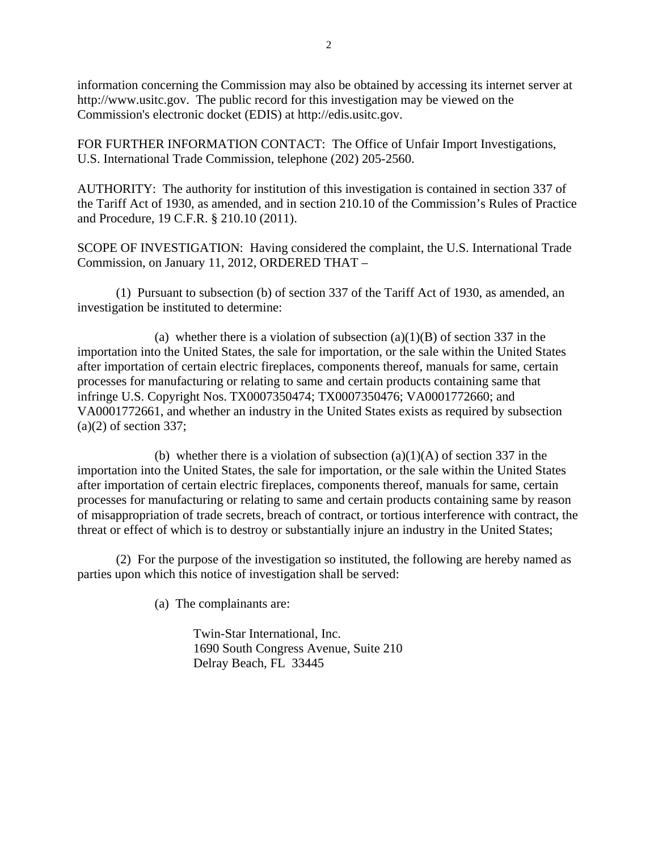information concerning the Commission may also be obtained by accessing its internet server at http://www.usitc.gov. The public record for this investigation may be viewed on the Commission's electronic docket (EDIS) at http://edis.usitc.gov.

FOR FURTHER INFORMATION CONTACT: The Office of Unfair Import Investigations, U.S. International Trade Commission, telephone (202) 205-2560.

AUTHORITY: The authority for institution of this investigation is contained in section 337 of the Tariff Act of 1930, as amended, and in section 210.10 of the Commission's Rules of Practice and Procedure, 19 C.F.R. § 210.10 (2011).

SCOPE OF INVESTIGATION: Having considered the complaint, the U.S. International Trade Commission, on January 11, 2012, ORDERED THAT –

 (1) Pursuant to subsection (b) of section 337 of the Tariff Act of 1930, as amended, an investigation be instituted to determine:

(a) whether there is a violation of subsection  $(a)(1)(B)$  of section 337 in the importation into the United States, the sale for importation, or the sale within the United States after importation of certain electric fireplaces, components thereof, manuals for same, certain processes for manufacturing or relating to same and certain products containing same that infringe U.S. Copyright Nos. TX0007350474; TX0007350476; VA0001772660; and VA0001772661, and whether an industry in the United States exists as required by subsection  $(a)(2)$  of section 337;

(b) whether there is a violation of subsection  $(a)(1)(A)$  of section 337 in the importation into the United States, the sale for importation, or the sale within the United States after importation of certain electric fireplaces, components thereof, manuals for same, certain processes for manufacturing or relating to same and certain products containing same by reason of misappropriation of trade secrets, breach of contract, or tortious interference with contract, the threat or effect of which is to destroy or substantially injure an industry in the United States;

 (2) For the purpose of the investigation so instituted, the following are hereby named as parties upon which this notice of investigation shall be served:

(a) The complainants are:

 Twin-Star International, Inc. 1690 South Congress Avenue, Suite 210 Delray Beach, FL 33445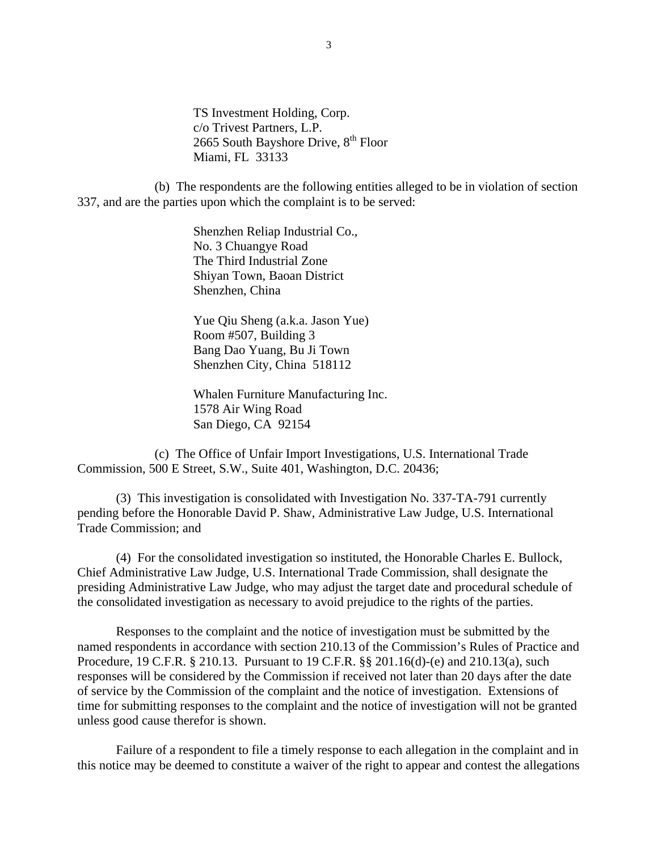TS Investment Holding, Corp. c/o Trivest Partners, L.P. 2665 South Bayshore Drive, 8<sup>th</sup> Floor Miami, FL 33133

 (b) The respondents are the following entities alleged to be in violation of section 337, and are the parties upon which the complaint is to be served:

> Shenzhen Reliap Industrial Co., No. 3 Chuangye Road The Third Industrial Zone Shiyan Town, Baoan District Shenzhen, China

 Yue Qiu Sheng (a.k.a. Jason Yue) Room #507, Building 3 Bang Dao Yuang, Bu Ji Town Shenzhen City, China 518112

 Whalen Furniture Manufacturing Inc. 1578 Air Wing Road San Diego, CA 92154

 (c) The Office of Unfair Import Investigations, U.S. International Trade Commission, 500 E Street, S.W., Suite 401, Washington, D.C. 20436;

 (3) This investigation is consolidated with Investigation No. 337-TA-791 currently pending before the Honorable David P. Shaw, Administrative Law Judge, U.S. International Trade Commission; and

(4) For the consolidated investigation so instituted, the Honorable Charles E. Bullock, Chief Administrative Law Judge, U.S. International Trade Commission, shall designate the presiding Administrative Law Judge, who may adjust the target date and procedural schedule of the consolidated investigation as necessary to avoid prejudice to the rights of the parties.

 Responses to the complaint and the notice of investigation must be submitted by the named respondents in accordance with section 210.13 of the Commission's Rules of Practice and Procedure, 19 C.F.R. § 210.13. Pursuant to 19 C.F.R. §§ 201.16(d)-(e) and 210.13(a), such responses will be considered by the Commission if received not later than 20 days after the date of service by the Commission of the complaint and the notice of investigation. Extensions of time for submitting responses to the complaint and the notice of investigation will not be granted unless good cause therefor is shown.

 Failure of a respondent to file a timely response to each allegation in the complaint and in this notice may be deemed to constitute a waiver of the right to appear and contest the allegations